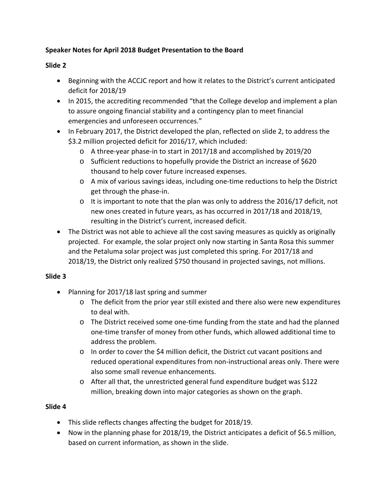## **Speaker Notes for April 2018 Budget Presentation to the Board**

## **Slide 2**

- Beginning with the ACCJC report and how it relates to the District's current anticipated deficit for 2018/19
- In 2015, the accrediting recommended "that the College develop and implement a plan to assure ongoing financial stability and a contingency plan to meet financial emergencies and unforeseen occurrences."
- In February 2017, the District developed the plan, reflected on slide 2, to address the \$3.2 million projected deficit for 2016/17, which included:
	- o A three‐year phase‐in to start in 2017/18 and accomplished by 2019/20
	- o Sufficient reductions to hopefully provide the District an increase of \$620 thousand to help cover future increased expenses.
	- o A mix of various savings ideas, including one‐time reductions to help the District get through the phase‐in.
	- $\circ$  It is important to note that the plan was only to address the 2016/17 deficit, not new ones created in future years, as has occurred in 2017/18 and 2018/19, resulting in the District's current, increased deficit.
- The District was not able to achieve all the cost saving measures as quickly as originally projected. For example, the solar project only now starting in Santa Rosa this summer and the Petaluma solar project was just completed this spring. For 2017/18 and 2018/19, the District only realized \$750 thousand in projected savings, not millions.

## **Slide 3**

- Planning for 2017/18 last spring and summer
	- o The deficit from the prior year still existed and there also were new expenditures to deal with.
	- o The District received some one‐time funding from the state and had the planned one‐time transfer of money from other funds, which allowed additional time to address the problem.
	- $\circ$  In order to cover the \$4 million deficit, the District cut vacant positions and reduced operational expenditures from non‐instructional areas only. There were also some small revenue enhancements.
	- o After all that, the unrestricted general fund expenditure budget was \$122 million, breaking down into major categories as shown on the graph.

## **Slide 4**

- This slide reflects changes affecting the budget for 2018/19.
- Now in the planning phase for 2018/19, the District anticipates a deficit of \$6.5 million, based on current information, as shown in the slide.